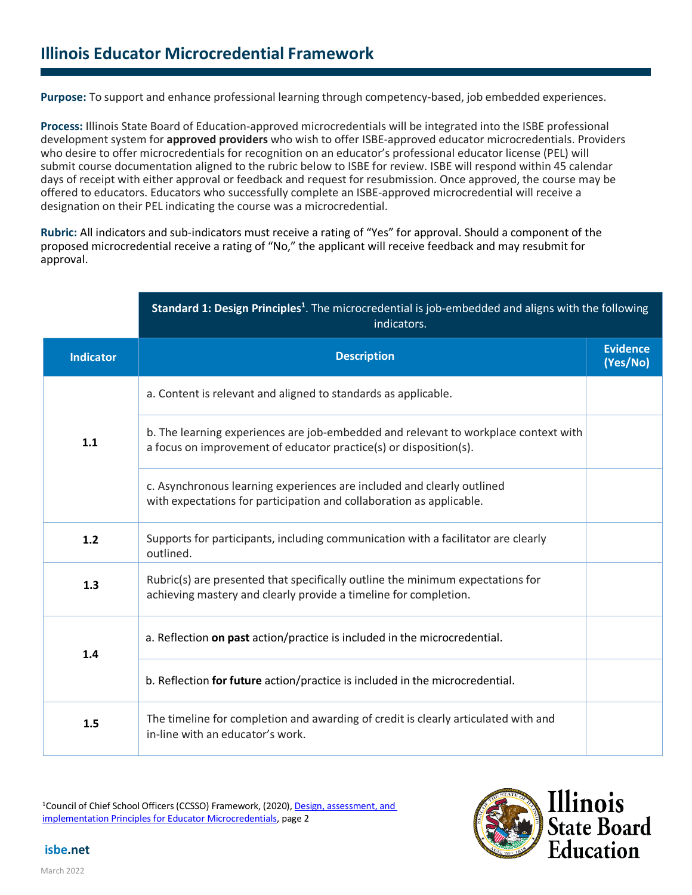**Purpose:** To support and enhance professional learning through competency-based, job embedded experiences.

**Process:** Illinois State Board of Education-approved microcredentials will be integrated into the ISBE professional development system for **approved providers** who wish to offer ISBE-approved educator microcredentials. Providers who desire to offer microcredentials for recognition on an educator's professional educator license (PEL) will submit course documentation aligned to the rubric below to ISBE for review. ISBE will respond within 45 calendar days of receipt with either approval or feedback and request for resubmission. Once approved, the course may be offered to educators. Educators who successfully complete an ISBE-approved microcredential will receive a designation on their PEL indicating the course was a microcredential.

**Rubric:** All indicators and sub-indicators must receive a rating of "Yes" for approval. Should a component of the proposed microcredential receive a rating of "No," the applicant will receive feedback and may resubmit for approval.

|                  | Standard 1: Design Principles <sup>1</sup> . The microcredential is job-embedded and aligns with the following<br>indicators.                            |                             |
|------------------|----------------------------------------------------------------------------------------------------------------------------------------------------------|-----------------------------|
| <b>Indicator</b> | <b>Description</b>                                                                                                                                       | <b>Evidence</b><br>(Yes/No) |
| 1.1              | a. Content is relevant and aligned to standards as applicable.                                                                                           |                             |
|                  | b. The learning experiences are job-embedded and relevant to workplace context with<br>a focus on improvement of educator practice(s) or disposition(s). |                             |
|                  | c. Asynchronous learning experiences are included and clearly outlined<br>with expectations for participation and collaboration as applicable.           |                             |
| 1.2              | Supports for participants, including communication with a facilitator are clearly<br>outlined.                                                           |                             |
| 1.3              | Rubric(s) are presented that specifically outline the minimum expectations for<br>achieving mastery and clearly provide a timeline for completion.       |                             |
| 1.4              | a. Reflection on past action/practice is included in the microcredential.                                                                                |                             |
|                  | b. Reflection for future action/practice is included in the microcredential.                                                                             |                             |
| 1.5              | The timeline for completion and awarding of credit is clearly articulated with and<br>in-line with an educator's work.                                   |                             |

<sup>1</sup>Council of Chief School Officers (CCSSO) Framework, (2020), Design, assessment, and [implementation Principles for Educator Microcredentials,](https://ccsso.org/resource-library/design-assessment-and-implementation-principles-educator-micro-credentials) page 2



**isbe.net**